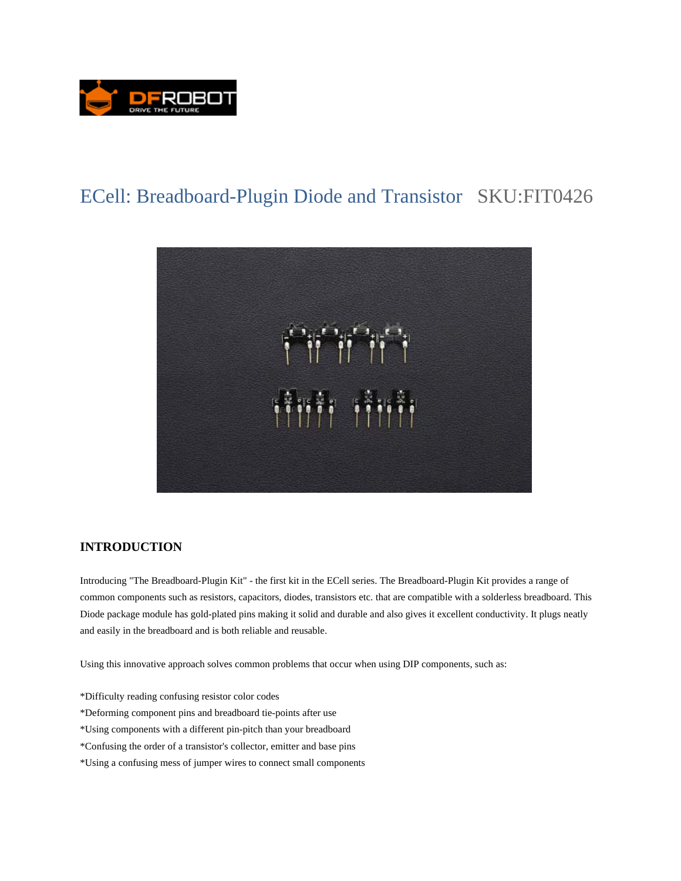

# ECell: Breadboard-Plugin Diode and Transistor SKU:FIT0426



#### **INTRODUCTION**

Introducing "The Breadboard-Plugin Kit" - the first kit in the ECell series. The Breadboard-Plugin Kit provides a range of common components such as resistors, capacitors, diodes, transistors etc. that are compatible with a solderless breadboard. This Diode package module has gold-plated pins making it solid and durable and also gives it excellent conductivity. It plugs neatly and easily in the breadboard and is both reliable and reusable.

Using this innovative approach solves common problems that occur when using DIP components, such as:

- \*Difficulty reading confusing resistor color codes
- \*Deforming component pins and breadboard tie-points after use
- \*Using components with a different pin-pitch than your breadboard
- \*Confusing the order of a transistor's collector, emitter and base pins
- \*Using a confusing mess of jumper wires to connect small components